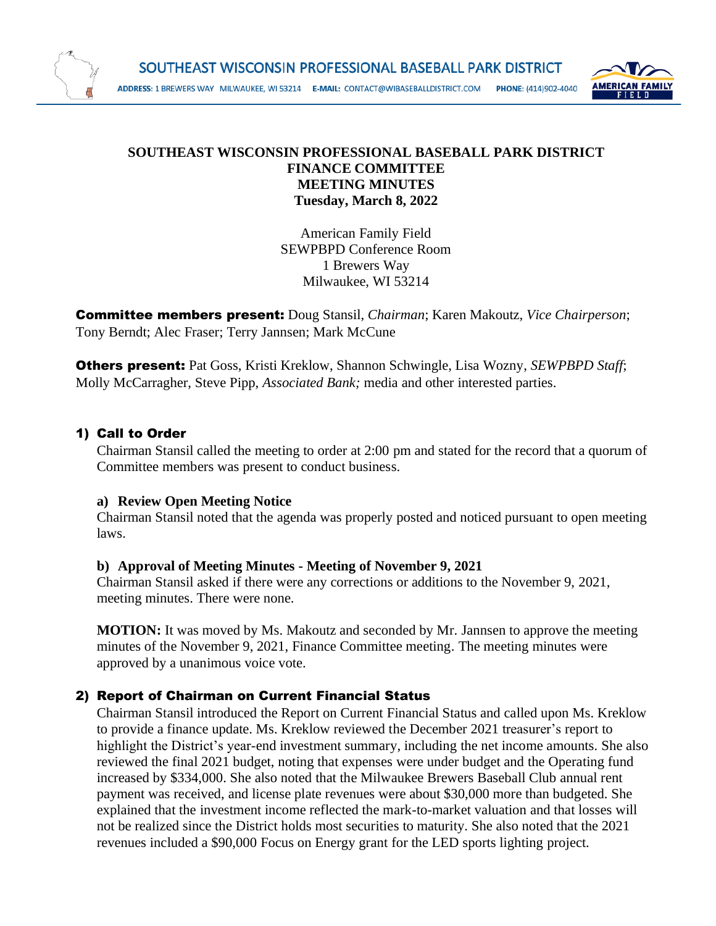

### **SOUTHEAST WISCONSIN PROFESSIONAL BASEBALL PARK DISTRICT FINANCE COMMITTEE MEETING MINUTES Tuesday, March 8, 2022**

American Family Field SEWPBPD Conference Room 1 Brewers Way Milwaukee, WI 53214

Committee members present: Doug Stansil, *Chairman*; Karen Makoutz, *Vice Chairperson*; Tony Berndt; Alec Fraser; Terry Jannsen; Mark McCune

Others present: Pat Goss, Kristi Kreklow, Shannon Schwingle, Lisa Wozny, *SEWPBPD Staff*; Molly McCarragher, Steve Pipp, *Associated Bank;* media and other interested parties.

## 1) Call to Order

Chairman Stansil called the meeting to order at 2:00 pm and stated for the record that a quorum of Committee members was present to conduct business.

## **a) Review Open Meeting Notice**

Chairman Stansil noted that the agenda was properly posted and noticed pursuant to open meeting laws.

## **b) Approval of Meeting Minutes - Meeting of November 9, 2021**

Chairman Stansil asked if there were any corrections or additions to the November 9, 2021, meeting minutes. There were none.

**MOTION:** It was moved by Ms. Makoutz and seconded by Mr. Jannsen to approve the meeting minutes of the November 9, 2021, Finance Committee meeting. The meeting minutes were approved by a unanimous voice vote.

# 2) Report of Chairman on Current Financial Status

Chairman Stansil introduced the Report on Current Financial Status and called upon Ms. Kreklow to provide a finance update. Ms. Kreklow reviewed the December 2021 treasurer's report to highlight the District's year-end investment summary, including the net income amounts. She also reviewed the final 2021 budget, noting that expenses were under budget and the Operating fund increased by \$334,000. She also noted that the Milwaukee Brewers Baseball Club annual rent payment was received, and license plate revenues were about \$30,000 more than budgeted. She explained that the investment income reflected the mark-to-market valuation and that losses will not be realized since the District holds most securities to maturity. She also noted that the 2021 revenues included a \$90,000 Focus on Energy grant for the LED sports lighting project.